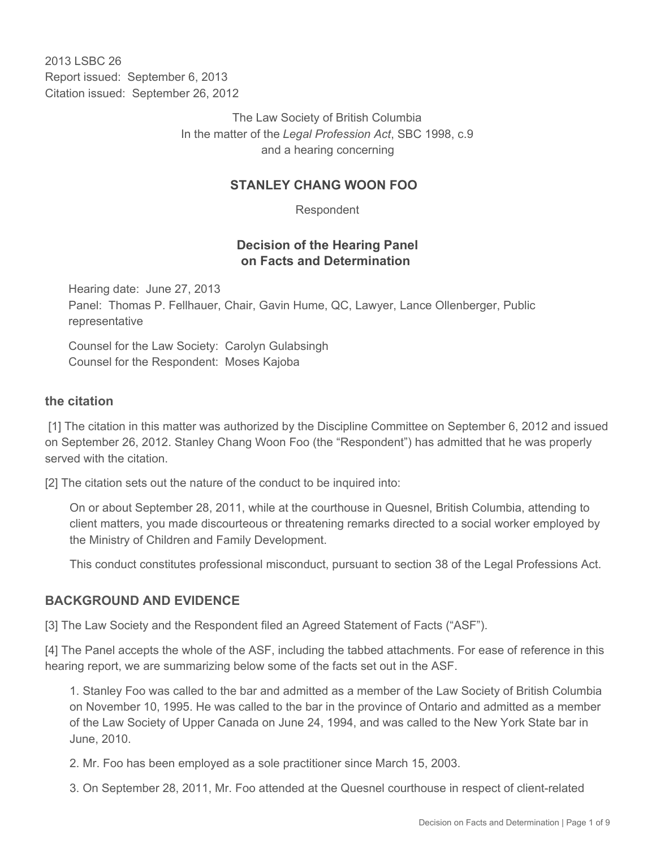2013 LSBC 26 Report issued: September 6, 2013 Citation issued: September 26, 2012

> The Law Society of British Columbia In the matter of the *Legal Profession Act*, SBC 1998, c.9 and a hearing concerning

### **STANLEY CHANG WOON FOO**

Respondent

## **Decision of the Hearing Panel on Facts and Determination**

Hearing date: June 27, 2013 Panel: Thomas P. Fellhauer, Chair, Gavin Hume, QC, Lawyer, Lance Ollenberger, Public representative

Counsel for the Law Society: Carolyn Gulabsingh Counsel for the Respondent: Moses Kajoba

### **the citation**

 [1] The citation in this matter was authorized by the Discipline Committee on September 6, 2012 and issued on September 26, 2012. Stanley Chang Woon Foo (the "Respondent") has admitted that he was properly served with the citation.

[2] The citation sets out the nature of the conduct to be inquired into:

On or about September 28, 2011, while at the courthouse in Quesnel, British Columbia, attending to client matters, you made discourteous or threatening remarks directed to a social worker employed by the Ministry of Children and Family Development.

This conduct constitutes professional misconduct, pursuant to section 38 of the Legal Professions Act.

### **BACKGROUND AND EVIDENCE**

[3] The Law Society and the Respondent filed an Agreed Statement of Facts ("ASF").

[4] The Panel accepts the whole of the ASF, including the tabbed attachments. For ease of reference in this hearing report, we are summarizing below some of the facts set out in the ASF.

1. Stanley Foo was called to the bar and admitted as a member of the Law Society of British Columbia on November 10, 1995. He was called to the bar in the province of Ontario and admitted as a member of the Law Society of Upper Canada on June 24, 1994, and was called to the New York State bar in June, 2010.

2. Mr. Foo has been employed as a sole practitioner since March 15, 2003.

3. On September 28, 2011, Mr. Foo attended at the Quesnel courthouse in respect of client-related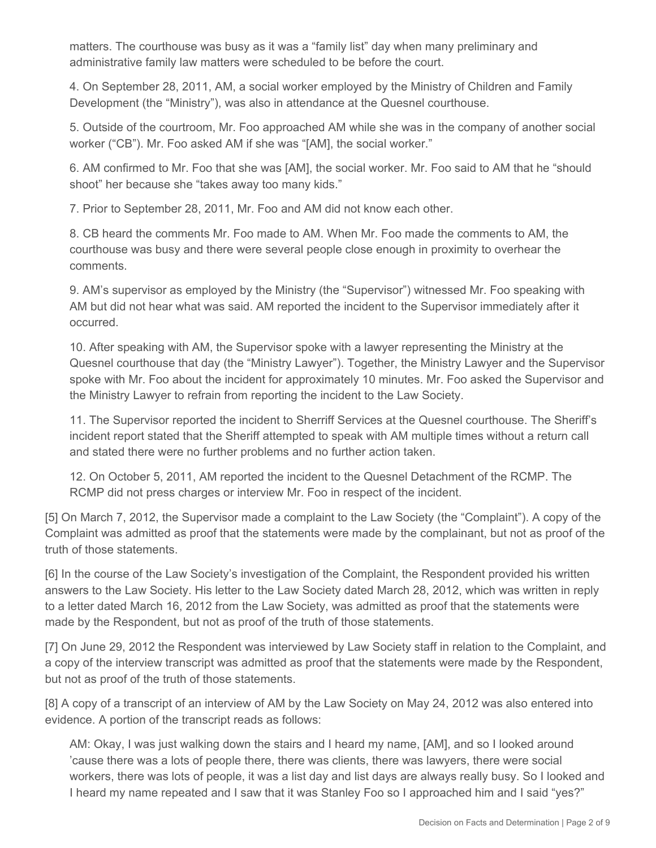matters. The courthouse was busy as it was a "family list" day when many preliminary and administrative family law matters were scheduled to be before the court.

4. On September 28, 2011, AM, a social worker employed by the Ministry of Children and Family Development (the "Ministry"), was also in attendance at the Quesnel courthouse.

5. Outside of the courtroom, Mr. Foo approached AM while she was in the company of another social worker ("CB"). Mr. Foo asked AM if she was "[AM], the social worker."

6. AM confirmed to Mr. Foo that she was [AM], the social worker. Mr. Foo said to AM that he "should shoot" her because she "takes away too many kids."

7. Prior to September 28, 2011, Mr. Foo and AM did not know each other.

8. CB heard the comments Mr. Foo made to AM. When Mr. Foo made the comments to AM, the courthouse was busy and there were several people close enough in proximity to overhear the comments.

9. AM's supervisor as employed by the Ministry (the "Supervisor") witnessed Mr. Foo speaking with AM but did not hear what was said. AM reported the incident to the Supervisor immediately after it occurred.

10. After speaking with AM, the Supervisor spoke with a lawyer representing the Ministry at the Quesnel courthouse that day (the "Ministry Lawyer"). Together, the Ministry Lawyer and the Supervisor spoke with Mr. Foo about the incident for approximately 10 minutes. Mr. Foo asked the Supervisor and the Ministry Lawyer to refrain from reporting the incident to the Law Society.

11. The Supervisor reported the incident to Sherriff Services at the Quesnel courthouse. The Sheriff's incident report stated that the Sheriff attempted to speak with AM multiple times without a return call and stated there were no further problems and no further action taken.

12. On October 5, 2011, AM reported the incident to the Quesnel Detachment of the RCMP. The RCMP did not press charges or interview Mr. Foo in respect of the incident.

[5] On March 7, 2012, the Supervisor made a complaint to the Law Society (the "Complaint"). A copy of the Complaint was admitted as proof that the statements were made by the complainant, but not as proof of the truth of those statements.

[6] In the course of the Law Society's investigation of the Complaint, the Respondent provided his written answers to the Law Society. His letter to the Law Society dated March 28, 2012, which was written in reply to a letter dated March 16, 2012 from the Law Society, was admitted as proof that the statements were made by the Respondent, but not as proof of the truth of those statements.

[7] On June 29, 2012 the Respondent was interviewed by Law Society staff in relation to the Complaint, and a copy of the interview transcript was admitted as proof that the statements were made by the Respondent, but not as proof of the truth of those statements.

[8] A copy of a transcript of an interview of AM by the Law Society on May 24, 2012 was also entered into evidence. A portion of the transcript reads as follows:

AM: Okay, I was just walking down the stairs and I heard my name, [AM], and so I looked around 'cause there was a lots of people there, there was clients, there was lawyers, there were social workers, there was lots of people, it was a list day and list days are always really busy. So I looked and I heard my name repeated and I saw that it was Stanley Foo so I approached him and I said "yes?"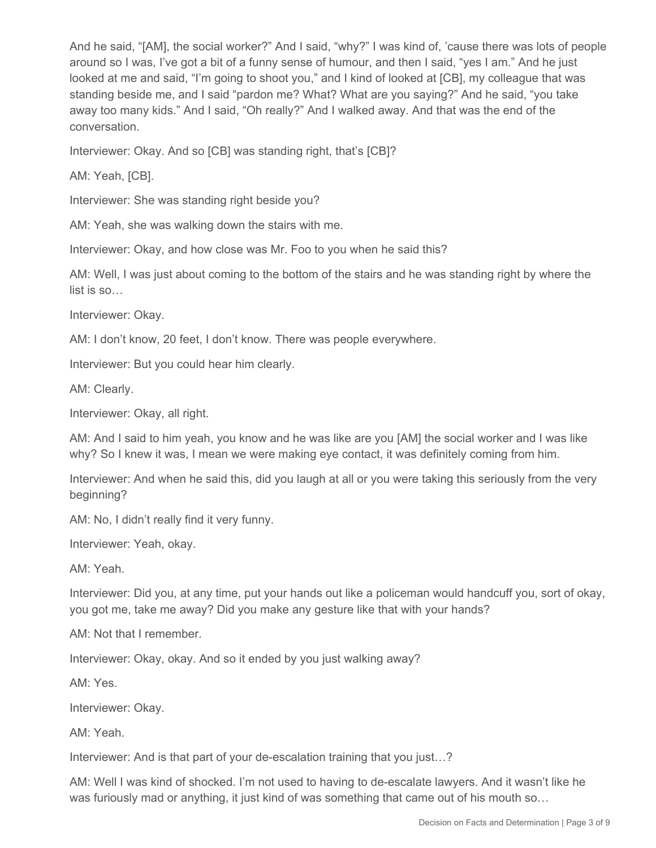And he said, "[AM], the social worker?" And I said, "why?" I was kind of, 'cause there was lots of people around so I was, I've got a bit of a funny sense of humour, and then I said, "yes I am." And he just looked at me and said, "I'm going to shoot you," and I kind of looked at [CB], my colleague that was standing beside me, and I said "pardon me? What? What are you saying?" And he said, "you take away too many kids." And I said, "Oh really?" And I walked away. And that was the end of the conversation.

Interviewer: Okay. And so [CB] was standing right, that's [CB]?

AM: Yeah, [CB].

Interviewer: She was standing right beside you?

AM: Yeah, she was walking down the stairs with me.

Interviewer: Okay, and how close was Mr. Foo to you when he said this?

AM: Well, I was just about coming to the bottom of the stairs and he was standing right by where the list is so…

Interviewer: Okay.

AM: I don't know, 20 feet, I don't know. There was people everywhere.

Interviewer: But you could hear him clearly.

AM: Clearly.

Interviewer: Okay, all right.

AM: And I said to him yeah, you know and he was like are you [AM] the social worker and I was like why? So I knew it was, I mean we were making eye contact, it was definitely coming from him.

Interviewer: And when he said this, did you laugh at all or you were taking this seriously from the very beginning?

AM: No, I didn't really find it very funny.

Interviewer: Yeah, okay.

AM: Yeah.

Interviewer: Did you, at any time, put your hands out like a policeman would handcuff you, sort of okay, you got me, take me away? Did you make any gesture like that with your hands?

AM: Not that I remember.

Interviewer: Okay, okay. And so it ended by you just walking away?

AM: Yes.

Interviewer: Okay.

AM: Yeah.

Interviewer: And is that part of your de-escalation training that you just…?

AM: Well I was kind of shocked. I'm not used to having to de-escalate lawyers. And it wasn't like he was furiously mad or anything, it just kind of was something that came out of his mouth so…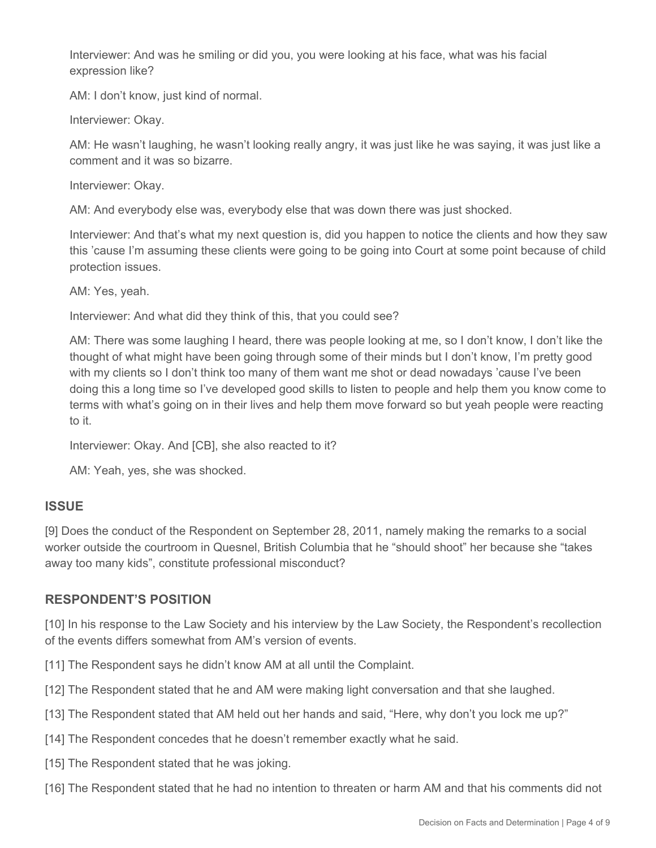Interviewer: And was he smiling or did you, you were looking at his face, what was his facial expression like?

AM: I don't know, just kind of normal.

Interviewer: Okay.

AM: He wasn't laughing, he wasn't looking really angry, it was just like he was saying, it was just like a comment and it was so bizarre.

Interviewer: Okay.

AM: And everybody else was, everybody else that was down there was just shocked.

Interviewer: And that's what my next question is, did you happen to notice the clients and how they saw this 'cause I'm assuming these clients were going to be going into Court at some point because of child protection issues.

AM: Yes, yeah.

Interviewer: And what did they think of this, that you could see?

AM: There was some laughing I heard, there was people looking at me, so I don't know, I don't like the thought of what might have been going through some of their minds but I don't know, I'm pretty good with my clients so I don't think too many of them want me shot or dead nowadays 'cause I've been doing this a long time so I've developed good skills to listen to people and help them you know come to terms with what's going on in their lives and help them move forward so but yeah people were reacting to it.

Interviewer: Okay. And [CB], she also reacted to it?

AM: Yeah, yes, she was shocked.

#### **ISSUE**

[9] Does the conduct of the Respondent on September 28, 2011, namely making the remarks to a social worker outside the courtroom in Quesnel, British Columbia that he "should shoot" her because she "takes away too many kids", constitute professional misconduct?

### **RESPONDENT'S POSITION**

[10] In his response to the Law Society and his interview by the Law Society, the Respondent's recollection of the events differs somewhat from AM's version of events.

[11] The Respondent says he didn't know AM at all until the Complaint.

[12] The Respondent stated that he and AM were making light conversation and that she laughed.

- [13] The Respondent stated that AM held out her hands and said, "Here, why don't you lock me up?"
- [14] The Respondent concedes that he doesn't remember exactly what he said.

[15] The Respondent stated that he was joking.

[16] The Respondent stated that he had no intention to threaten or harm AM and that his comments did not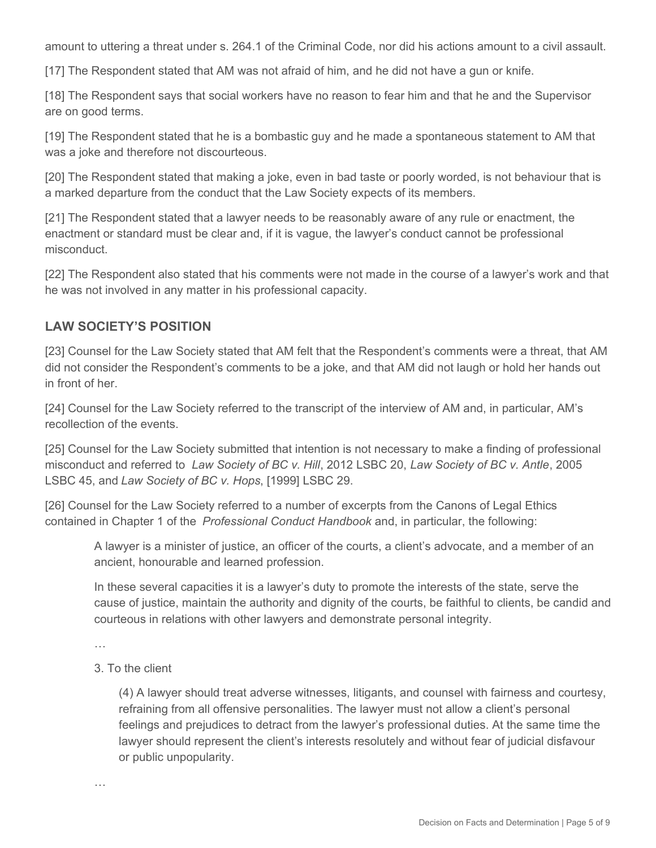amount to uttering a threat under s. 264.1 of the Criminal Code, nor did his actions amount to a civil assault.

[17] The Respondent stated that AM was not afraid of him, and he did not have a gun or knife.

[18] The Respondent says that social workers have no reason to fear him and that he and the Supervisor are on good terms.

[19] The Respondent stated that he is a bombastic guy and he made a spontaneous statement to AM that was a joke and therefore not discourteous.

[20] The Respondent stated that making a joke, even in bad taste or poorly worded, is not behaviour that is a marked departure from the conduct that the Law Society expects of its members.

[21] The Respondent stated that a lawyer needs to be reasonably aware of any rule or enactment, the enactment or standard must be clear and, if it is vague, the lawyer's conduct cannot be professional misconduct.

[22] The Respondent also stated that his comments were not made in the course of a lawyer's work and that he was not involved in any matter in his professional capacity.

### **LAW SOCIETY'S POSITION**

[23] Counsel for the Law Society stated that AM felt that the Respondent's comments were a threat, that AM did not consider the Respondent's comments to be a joke, and that AM did not laugh or hold her hands out in front of her.

[24] Counsel for the Law Society referred to the transcript of the interview of AM and, in particular, AM's recollection of the events.

[25] Counsel for the Law Society submitted that intention is not necessary to make a finding of professional misconduct and referred to *Law Society of BC v. Hill*, 2012 LSBC 20, *Law Society of BC v. Antle*, 2005 LSBC 45, and *Law Society of BC v. Hops*, [1999] LSBC 29.

[26] Counsel for the Law Society referred to a number of excerpts from the Canons of Legal Ethics contained in Chapter 1 of the *Professional Conduct Handbook* and, in particular, the following:

A lawyer is a minister of justice, an officer of the courts, a client's advocate, and a member of an ancient, honourable and learned profession.

In these several capacities it is a lawyer's duty to promote the interests of the state, serve the cause of justice, maintain the authority and dignity of the courts, be faithful to clients, be candid and courteous in relations with other lawyers and demonstrate personal integrity.

…

…

### 3. To the client

(4) A lawyer should treat adverse witnesses, litigants, and counsel with fairness and courtesy, refraining from all offensive personalities. The lawyer must not allow a client's personal feelings and prejudices to detract from the lawyer's professional duties. At the same time the lawyer should represent the client's interests resolutely and without fear of judicial disfavour or public unpopularity.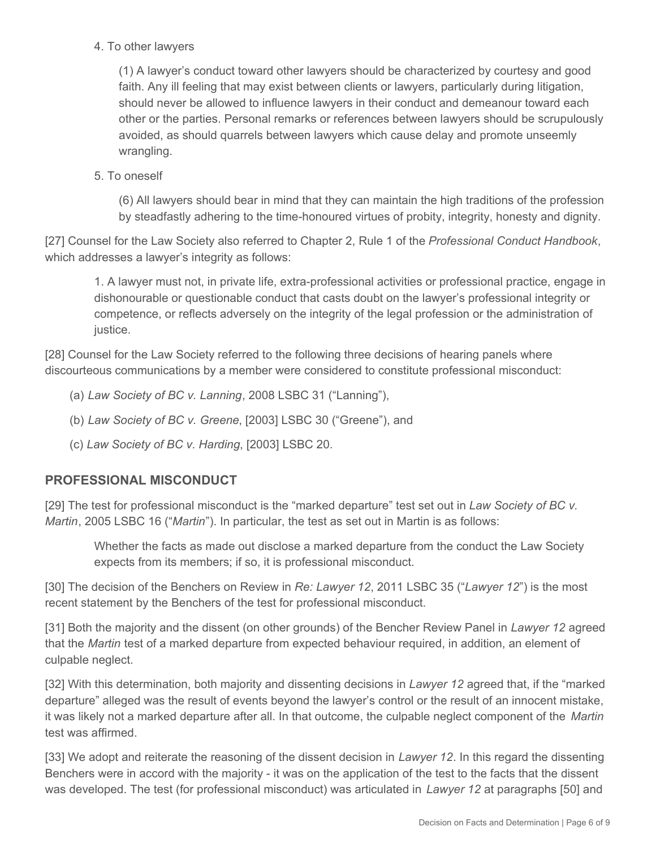4. To other lawyers

(1) A lawyer's conduct toward other lawyers should be characterized by courtesy and good faith. Any ill feeling that may exist between clients or lawyers, particularly during litigation, should never be allowed to influence lawyers in their conduct and demeanour toward each other or the parties. Personal remarks or references between lawyers should be scrupulously avoided, as should quarrels between lawyers which cause delay and promote unseemly wrangling.

5. To oneself

(6) All lawyers should bear in mind that they can maintain the high traditions of the profession by steadfastly adhering to the time-honoured virtues of probity, integrity, honesty and dignity.

[27] Counsel for the Law Society also referred to Chapter 2, Rule 1 of the *Professional Conduct Handbook*, which addresses a lawyer's integrity as follows:

1. A lawyer must not, in private life, extra-professional activities or professional practice, engage in dishonourable or questionable conduct that casts doubt on the lawyer's professional integrity or competence, or reflects adversely on the integrity of the legal profession or the administration of justice.

[28] Counsel for the Law Society referred to the following three decisions of hearing panels where discourteous communications by a member were considered to constitute professional misconduct:

(a) *Law Society of BC v. Lanning*, 2008 LSBC 31 ("Lanning"),

(b) *Law Society of BC v. Greene*, [2003] LSBC 30 ("Greene"), and

(c) *Law Society of BC v. Harding*, [2003] LSBC 20.

## **PROFESSIONAL MISCONDUCT**

[29] The test for professional misconduct is the "marked departure" test set out in *Law Society of BC v. Martin*, 2005 LSBC 16 ("*Martin*"). In particular, the test as set out in Martin is as follows:

Whether the facts as made out disclose a marked departure from the conduct the Law Society expects from its members; if so, it is professional misconduct.

[30] The decision of the Benchers on Review in *Re: Lawyer 12*, 2011 LSBC 35 ("*Lawyer 12*") is the most recent statement by the Benchers of the test for professional misconduct.

[31] Both the majority and the dissent (on other grounds) of the Bencher Review Panel in *Lawyer 12* agreed that the *Martin* test of a marked departure from expected behaviour required, in addition, an element of culpable neglect.

[32] With this determination, both majority and dissenting decisions in *Lawyer 12* agreed that, if the "marked departure" alleged was the result of events beyond the lawyer's control or the result of an innocent mistake, it was likely not a marked departure after all. In that outcome, the culpable neglect component of the *Martin*  test was affirmed.

[33] We adopt and reiterate the reasoning of the dissent decision in *Lawyer 12*. In this regard the dissenting Benchers were in accord with the majority - it was on the application of the test to the facts that the dissent was developed. The test (for professional misconduct) was articulated in *Lawyer 12* at paragraphs [50] and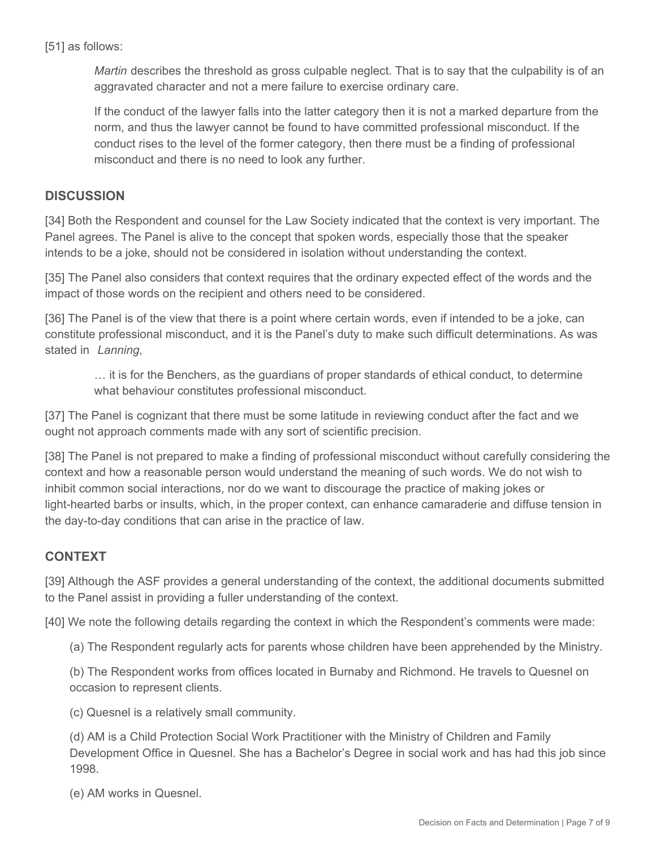[51] as follows:

*Martin* describes the threshold as gross culpable neglect. That is to say that the culpability is of an aggravated character and not a mere failure to exercise ordinary care.

If the conduct of the lawyer falls into the latter category then it is not a marked departure from the norm, and thus the lawyer cannot be found to have committed professional misconduct. If the conduct rises to the level of the former category, then there must be a finding of professional misconduct and there is no need to look any further.

## **DISCUSSION**

[34] Both the Respondent and counsel for the Law Society indicated that the context is very important. The Panel agrees. The Panel is alive to the concept that spoken words, especially those that the speaker intends to be a joke, should not be considered in isolation without understanding the context.

[35] The Panel also considers that context requires that the ordinary expected effect of the words and the impact of those words on the recipient and others need to be considered.

[36] The Panel is of the view that there is a point where certain words, even if intended to be a joke, can constitute professional misconduct, and it is the Panel's duty to make such difficult determinations. As was stated in *Lanning*,

… it is for the Benchers, as the guardians of proper standards of ethical conduct, to determine what behaviour constitutes professional misconduct.

[37] The Panel is cognizant that there must be some latitude in reviewing conduct after the fact and we ought not approach comments made with any sort of scientific precision.

[38] The Panel is not prepared to make a finding of professional misconduct without carefully considering the context and how a reasonable person would understand the meaning of such words. We do not wish to inhibit common social interactions, nor do we want to discourage the practice of making jokes or light-hearted barbs or insults, which, in the proper context, can enhance camaraderie and diffuse tension in the day-to-day conditions that can arise in the practice of law.

## **CONTEXT**

[39] Although the ASF provides a general understanding of the context, the additional documents submitted to the Panel assist in providing a fuller understanding of the context.

[40] We note the following details regarding the context in which the Respondent's comments were made:

(a) The Respondent regularly acts for parents whose children have been apprehended by the Ministry.

(b) The Respondent works from offices located in Burnaby and Richmond. He travels to Quesnel on occasion to represent clients.

(c) Quesnel is a relatively small community.

(d) AM is a Child Protection Social Work Practitioner with the Ministry of Children and Family Development Office in Quesnel. She has a Bachelor's Degree in social work and has had this job since 1998.

(e) AM works in Quesnel.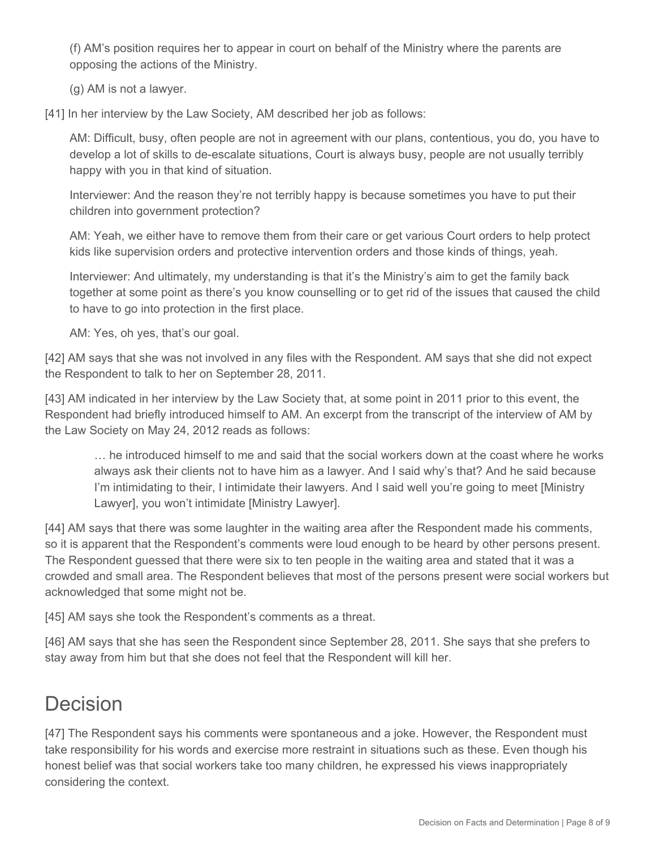(f) AM's position requires her to appear in court on behalf of the Ministry where the parents are opposing the actions of the Ministry.

(g) AM is not a lawyer.

[41] In her interview by the Law Society, AM described her job as follows:

AM: Difficult, busy, often people are not in agreement with our plans, contentious, you do, you have to develop a lot of skills to de-escalate situations, Court is always busy, people are not usually terribly happy with you in that kind of situation.

Interviewer: And the reason they're not terribly happy is because sometimes you have to put their children into government protection?

AM: Yeah, we either have to remove them from their care or get various Court orders to help protect kids like supervision orders and protective intervention orders and those kinds of things, yeah.

Interviewer: And ultimately, my understanding is that it's the Ministry's aim to get the family back together at some point as there's you know counselling or to get rid of the issues that caused the child to have to go into protection in the first place.

AM: Yes, oh yes, that's our goal.

[42] AM says that she was not involved in any files with the Respondent. AM says that she did not expect the Respondent to talk to her on September 28, 2011.

[43] AM indicated in her interview by the Law Society that, at some point in 2011 prior to this event, the Respondent had briefly introduced himself to AM. An excerpt from the transcript of the interview of AM by the Law Society on May 24, 2012 reads as follows:

… he introduced himself to me and said that the social workers down at the coast where he works always ask their clients not to have him as a lawyer. And I said why's that? And he said because I'm intimidating to their, I intimidate their lawyers. And I said well you're going to meet [Ministry Lawyer], you won't intimidate [Ministry Lawyer].

[44] AM says that there was some laughter in the waiting area after the Respondent made his comments, so it is apparent that the Respondent's comments were loud enough to be heard by other persons present. The Respondent guessed that there were six to ten people in the waiting area and stated that it was a crowded and small area. The Respondent believes that most of the persons present were social workers but acknowledged that some might not be.

[45] AM says she took the Respondent's comments as a threat.

[46] AM says that she has seen the Respondent since September 28, 2011. She says that she prefers to stay away from him but that she does not feel that the Respondent will kill her.

# Decision

[47] The Respondent says his comments were spontaneous and a joke. However, the Respondent must take responsibility for his words and exercise more restraint in situations such as these. Even though his honest belief was that social workers take too many children, he expressed his views inappropriately considering the context.